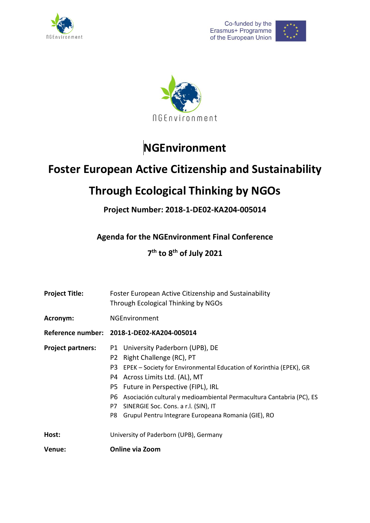





# **NGEnvironment**

## **Foster European Active Citizenship and Sustainability**

## **Through Ecological Thinking by NGOs**

**Project Number: 2018-1-DE02-KA204-005014**

**Agenda for the NGEnvironment Final Conference**

**7 th to 8th of July 2021** 

| <b>Project Title:</b>    | Foster European Active Citizenship and Sustainability<br>Through Ecological Thinking by NGOs                                                                                                                                                                                                                                                                                                                     |  |  |
|--------------------------|------------------------------------------------------------------------------------------------------------------------------------------------------------------------------------------------------------------------------------------------------------------------------------------------------------------------------------------------------------------------------------------------------------------|--|--|
| Acronym:                 | <b>NGEnvironment</b>                                                                                                                                                                                                                                                                                                                                                                                             |  |  |
|                          | Reference number: 2018-1-DE02-KA204-005014                                                                                                                                                                                                                                                                                                                                                                       |  |  |
| <b>Project partners:</b> | P1 University Paderborn (UPB), DE<br>P2 Right Challenge (RC), PT<br>P3<br>EPEK – Society for Environmental Education of Korinthia (EPEK), GR<br>P4 Across Limits Ltd. (AL), MT<br>P5 Future in Perspective (FIPL), IRL<br>Asociación cultural y medioambiental Permacultura Cantabria (PC), ES<br>P6.<br>SINERGIE Soc. Cons. a r.l. (SIN), IT<br>P7<br>Grupul Pentru Integrare Europeana Romania (GIE), RO<br>P8 |  |  |
| Host:                    | University of Paderborn (UPB), Germany                                                                                                                                                                                                                                                                                                                                                                           |  |  |
| Venue:                   | <b>Online via Zoom</b>                                                                                                                                                                                                                                                                                                                                                                                           |  |  |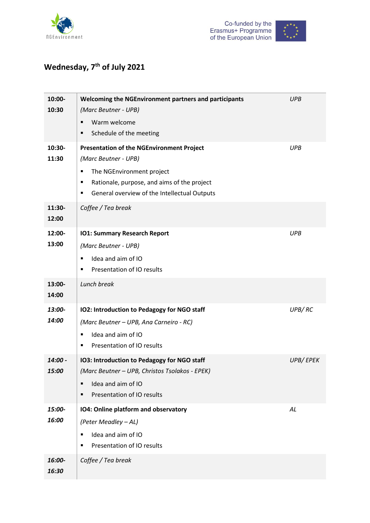



### **Wednesday, 7 th of July 2021**

| 10:00-<br>10:30         | Welcoming the NGEnvironment partners and participants<br>(Marc Beutner - UPB)                                                                                                                                       | <b>UPB</b> |
|-------------------------|---------------------------------------------------------------------------------------------------------------------------------------------------------------------------------------------------------------------|------------|
|                         | Warm welcome<br>п<br>Schedule of the meeting<br>п                                                                                                                                                                   |            |
| 10:30-<br>11:30         | <b>Presentation of the NGEnvironment Project</b><br>(Marc Beutner - UPB)<br>The NGEnvironment project<br>Ξ<br>Rationale, purpose, and aims of the project<br>٠<br>General overview of the Intellectual Outputs<br>٠ | <b>UPB</b> |
| 11:30-<br>12:00         | Coffee / Tea break                                                                                                                                                                                                  |            |
| 12:00-<br>13:00         | <b>IO1: Summary Research Report</b><br>(Marc Beutner - UPB)<br>Idea and aim of IO<br>Ξ<br>Presentation of IO results<br>٠                                                                                           | <b>UPB</b> |
| 13:00-<br>14:00         | Lunch break                                                                                                                                                                                                         |            |
| 13:00-<br>14:00         | IO2: Introduction to Pedagogy for NGO staff<br>(Marc Beutner - UPB, Ana Carneiro - RC)<br>Idea and aim of IO<br>п<br>Presentation of IO results<br>٠                                                                | UPB/RC     |
| 14:00 -<br><i>15:00</i> | IO3: Introduction to Pedagogy for NGO staff<br>(Marc Beutner - UPB, Christos Tsolakos - EPEK)<br>Idea and aim of IO<br>$\blacksquare$<br>Presentation of IO results<br>$\blacksquare$                               | UPB/EPEK   |
| 15:00-<br>16:00         | IO4: Online platform and observatory<br>(Peter Meadley - AL)<br>Idea and aim of IO<br>Е<br>Presentation of IO results<br>п                                                                                          | AL         |
| 16:00-<br>16:30         | Coffee / Tea break                                                                                                                                                                                                  |            |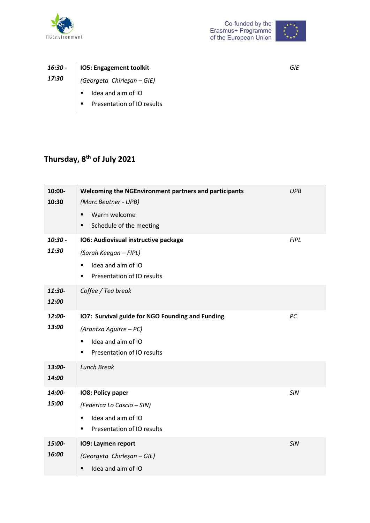



|       | 16:30 -   IO5: Engagement toolkit  |
|-------|------------------------------------|
| 17:30 | $\vert$ (Georgeta Chirlesan – GIE) |

- *(Georgeta Chirleşan – GIE)*
	- **IDEA** and aim of IO
	- **Presentation of IO results**

### **Thursday, 8 th of July 2021**

| 10:00-<br>10:30    | Welcoming the NGEnvironment partners and participants<br>(Marc Beutner - UPB)<br>Warm welcome<br>$\blacksquare$<br>Schedule of the meeting<br>٠ | <b>UPB</b>  |
|--------------------|-------------------------------------------------------------------------------------------------------------------------------------------------|-------------|
| $10:30 -$<br>11:30 | IO6: Audiovisual instructive package<br>(Sarah Keegan - FIPL)<br>Idea and aim of IO<br>$\blacksquare$<br>Presentation of IO results<br>٠        | <b>FIPL</b> |
| 11:30-<br>12:00    | Coffee / Tea break                                                                                                                              |             |
| 12:00-<br>13:00    | <b>107: Survival guide for NGO Founding and Funding</b><br>(Arantxa Aguirre – PC)<br>Idea and aim of IO<br>٠<br>Presentation of IO results<br>٠ | PC          |
| 13:00-<br>14:00    | <b>Lunch Break</b>                                                                                                                              |             |
| 14:00-<br>15:00    | IO8: Policy paper<br>(Federica Lo Cascio - SIN)<br>Idea and aim of IO<br>Ξ<br>Presentation of IO results<br>Ξ                                   | SIN         |
| 15:00-<br>16:00    | <b>109: Laymen report</b><br>(Georgeta Chirleşan - GIE)<br>Idea and aim of IO                                                                   | <b>SIN</b>  |